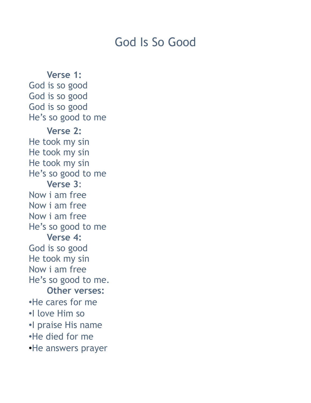## God Is So Good

**Verse 1:** God is so good God is so good God is so good He's so good to me **Verse 2:** He took my sin He took my sin He took my sin He's so good to me **Verse 3**: Now i am free Now i am free Now i am free He's so good to me **Verse 4:** God is so good He took my sin Now i am free He's so good to me. **Other verses:** •He cares for me •I love Him so •I praise His name •He died for me •He answers prayer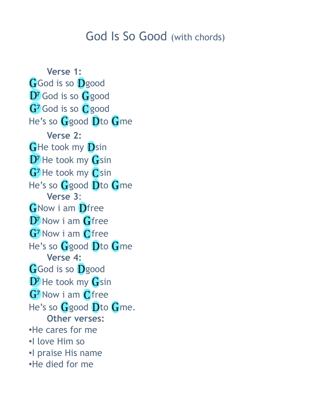## God Is So Good (with chords)

**Verse 1: G**God is so Dgood  $D<sup>7</sup>$  God is so  $G$  good G<sup>7</sup> God is so C<sub>good</sub> He's so  $G$  good  $D$  to  $G$  me **Verse 2:**  $G$ He took my  $D$ sin  $D^7$  He took my  $G$ sin G<sup>7</sup> He took my Csin He's so  $G$  good  $D$ to  $G$ me **Verse 3**: **G**Now i am Dfree  $D<sup>7</sup>$  Now i am  $G$  free G<sup>7</sup> Now i am Cfree He's so  $G$  good  $D$  to  $G$  me **Verse 4:** GGod is so Dgood  $D^7$  He took my  $G$ sin G<sup>7</sup> Now i am Cfree He's so  $G$  good  $D$  to  $G$  me. **Other verses:** •He cares for me •I love Him so •I praise His name •He died for me